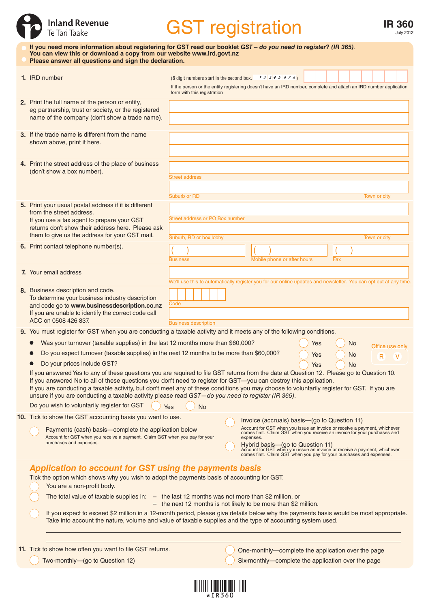|                                                                                                  | <b>Inland Revenue</b><br>Te Tari Taake                                                                                                                                                                                                                                                                                                                                                                                                                                                               |                                                                                                                                                                                                                                                                                                                                                                                                        | <b>GST</b> registration                                |  |                                                                                                                   |                | <b>IR 360</b><br><b>July 2012</b> |  |  |  |
|--------------------------------------------------------------------------------------------------|------------------------------------------------------------------------------------------------------------------------------------------------------------------------------------------------------------------------------------------------------------------------------------------------------------------------------------------------------------------------------------------------------------------------------------------------------------------------------------------------------|--------------------------------------------------------------------------------------------------------------------------------------------------------------------------------------------------------------------------------------------------------------------------------------------------------------------------------------------------------------------------------------------------------|--------------------------------------------------------|--|-------------------------------------------------------------------------------------------------------------------|----------------|-----------------------------------|--|--|--|
|                                                                                                  | If you need more information about registering for GST read our booklet GST - do you need to register? (IR 365).<br>You can view this or download a copy from our website www.ird.govt.nz<br>Please answer all questions and sign the declaration.                                                                                                                                                                                                                                                   |                                                                                                                                                                                                                                                                                                                                                                                                        |                                                        |  |                                                                                                                   |                |                                   |  |  |  |
|                                                                                                  | 1. IRD number                                                                                                                                                                                                                                                                                                                                                                                                                                                                                        | form with this registration                                                                                                                                                                                                                                                                                                                                                                            | (8 digit numbers start in the second box. $12345678$ ) |  | If the person or the entity registering doesn't have an IRD number, complete and attach an IRD number application |                |                                   |  |  |  |
|                                                                                                  | 2. Print the full name of the person or entity,<br>eg partnership, trust or society, or the registered<br>name of the company (don't show a trade name).                                                                                                                                                                                                                                                                                                                                             |                                                                                                                                                                                                                                                                                                                                                                                                        |                                                        |  |                                                                                                                   |                |                                   |  |  |  |
|                                                                                                  | 3. If the trade name is different from the name<br>shown above, print it here.                                                                                                                                                                                                                                                                                                                                                                                                                       |                                                                                                                                                                                                                                                                                                                                                                                                        |                                                        |  |                                                                                                                   |                |                                   |  |  |  |
|                                                                                                  | 4. Print the street address of the place of business<br>(don't show a box number).                                                                                                                                                                                                                                                                                                                                                                                                                   | <b>Street address</b>                                                                                                                                                                                                                                                                                                                                                                                  |                                                        |  |                                                                                                                   |                |                                   |  |  |  |
|                                                                                                  | 5. Print your usual postal address if it is different<br>from the street address.<br>If you use a tax agent to prepare your GST<br>returns don't show their address here. Please ask<br>them to give us the address for your GST mail.                                                                                                                                                                                                                                                               | Suburb or RD                                                                                                                                                                                                                                                                                                                                                                                           | Street address or PO Box number                        |  |                                                                                                                   |                | Town or city                      |  |  |  |
|                                                                                                  | 6. Print contact telephone number(s).                                                                                                                                                                                                                                                                                                                                                                                                                                                                | Suburb, RD or box lobby<br><b>Business</b>                                                                                                                                                                                                                                                                                                                                                             |                                                        |  | Mobile phone or after hours                                                                                       | Fax            | Town or city                      |  |  |  |
|                                                                                                  | 7. Your email address                                                                                                                                                                                                                                                                                                                                                                                                                                                                                |                                                                                                                                                                                                                                                                                                                                                                                                        |                                                        |  | We'll use this to automatically register you for our online updates and newsletter. You can opt out at any time.  |                |                                   |  |  |  |
|                                                                                                  | 8. Business description and code.<br>To determine your business industry description<br>and code go to www.businessdescription.co.nz<br>If you are unable to identify the correct code call<br>ACC on 0508 426 837.                                                                                                                                                                                                                                                                                  | Code<br><b>Business description</b>                                                                                                                                                                                                                                                                                                                                                                    |                                                        |  |                                                                                                                   |                |                                   |  |  |  |
|                                                                                                  | 9. You must register for GST when you are conducting a taxable activity and it meets any of the following conditions.                                                                                                                                                                                                                                                                                                                                                                                |                                                                                                                                                                                                                                                                                                                                                                                                        |                                                        |  |                                                                                                                   |                |                                   |  |  |  |
|                                                                                                  | Was your turnover (taxable supplies) in the last 12 months more than \$60,000?                                                                                                                                                                                                                                                                                                                                                                                                                       |                                                                                                                                                                                                                                                                                                                                                                                                        |                                                        |  | Yes                                                                                                               | <b>No</b>      | Office use only                   |  |  |  |
| Do you expect turnover (taxable supplies) in the next 12 months to be more than \$60,000?<br>Yes |                                                                                                                                                                                                                                                                                                                                                                                                                                                                                                      |                                                                                                                                                                                                                                                                                                                                                                                                        |                                                        |  | No                                                                                                                | $\overline{R}$ |                                   |  |  |  |
|                                                                                                  |                                                                                                                                                                                                                                                                                                                                                                                                                                                                                                      | Do your prices include GST?<br>Yes<br><b>No</b><br>If you answered Yes to any of these questions you are required to file GST returns from the date at Question 12. Please go to Question 10.                                                                                                                                                                                                          |                                                        |  |                                                                                                                   |                |                                   |  |  |  |
|                                                                                                  | If you answered No to all of these questions you don't need to register for GST-you can destroy this application.<br>If you are conducting a taxable activity, but don't meet any of these conditions you may choose to voluntarily register for GST. If you are<br>unsure if you are conducting a taxable activity please read GST-do you need to register (IR 365).                                                                                                                                |                                                                                                                                                                                                                                                                                                                                                                                                        |                                                        |  |                                                                                                                   |                |                                   |  |  |  |
|                                                                                                  | Do you wish to voluntarily register for GST                                                                                                                                                                                                                                                                                                                                                                                                                                                          | Yes<br>No                                                                                                                                                                                                                                                                                                                                                                                              |                                                        |  |                                                                                                                   |                |                                   |  |  |  |
|                                                                                                  | 10. Tick to show the GST accounting basis you want to use.<br>Payments (cash) basis-complete the application below<br>Account for GST when you receive a payment. Claim GST when you pay for your<br>purchases and expenses.                                                                                                                                                                                                                                                                         | Invoice (accruals) basis—(go to Question 11)<br>Account for GST when you issue an invoice or receive a payment, whichever comes first. Claim GST when you receive an invoice for your purchases and<br>expenses.<br>Hybrid basis—(go to Question 11)<br>Account for GST when you issue an invoice or receive a payment, whichever comes first. Claim GST when you pay for your purchases and expenses. |                                                        |  |                                                                                                                   |                |                                   |  |  |  |
|                                                                                                  | Application to account for GST using the payments basis<br>Tick the option which shows why you wish to adopt the payments basis of accounting for GST.<br>You are a non-profit body.<br>The total value of taxable supplies in: $-$ the last 12 months was not more than \$2 million, or<br>- the next 12 months is not likely to be more than \$2 million.<br>If you expect to exceed \$2 million in a 12-month period, please give details below why the payments basis would be most appropriate. |                                                                                                                                                                                                                                                                                                                                                                                                        |                                                        |  |                                                                                                                   |                |                                   |  |  |  |
|                                                                                                  | Take into account the nature, volume and value of taxable supplies and the type of accounting system used.                                                                                                                                                                                                                                                                                                                                                                                           |                                                                                                                                                                                                                                                                                                                                                                                                        |                                                        |  |                                                                                                                   |                |                                   |  |  |  |
|                                                                                                  | 11. Tick to show how often you want to file GST returns.<br>Two-monthly-(go to Question 12)                                                                                                                                                                                                                                                                                                                                                                                                          |                                                                                                                                                                                                                                                                                                                                                                                                        |                                                        |  | One-monthly-complete the application over the page<br>Six-monthly-complete the application over the page          |                |                                   |  |  |  |
|                                                                                                  |                                                                                                                                                                                                                                                                                                                                                                                                                                                                                                      |                                                                                                                                                                                                                                                                                                                                                                                                        |                                                        |  |                                                                                                                   |                |                                   |  |  |  |

| *IR360 |  |  |  |  |  |  |  |  |
|--------|--|--|--|--|--|--|--|--|